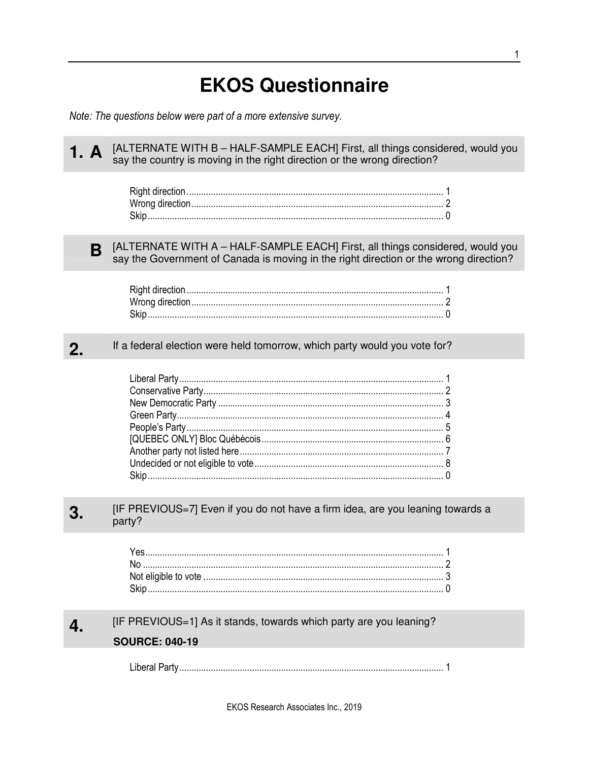## **EKOS Questionnaire**

Note: The questions below were part of a more extensive survey.

[ALTERNATE WITH B - HALF-SAMPLE EACH] First, all things considered, would you 1. A say the country is moving in the right direction or the wrong direction?

<sub>B</sub>

[ALTERNATE WITH A - HALF-SAMPLE EACH] First, all things considered, would you say the Government of Canada is moving in the right direction or the wrong direction?

If a federal election were held tomorrow, which party would you vote for?  $2.$ 

[IF PREVIOUS=7] Even if you do not have a firm idea, are you leaning towards a 3. party?

[IF PREVIOUS=1] As it stands, towards which party are you leaning?  $\overline{\mathbf{4}}$ 

## **SOURCE: 040-19**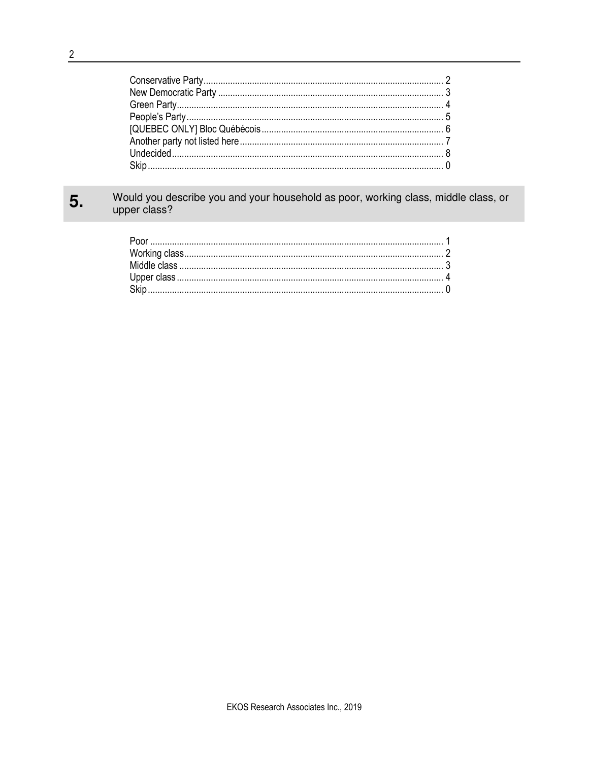## Would you describe you and your household as poor, working class, middle class, or upper class? 5.